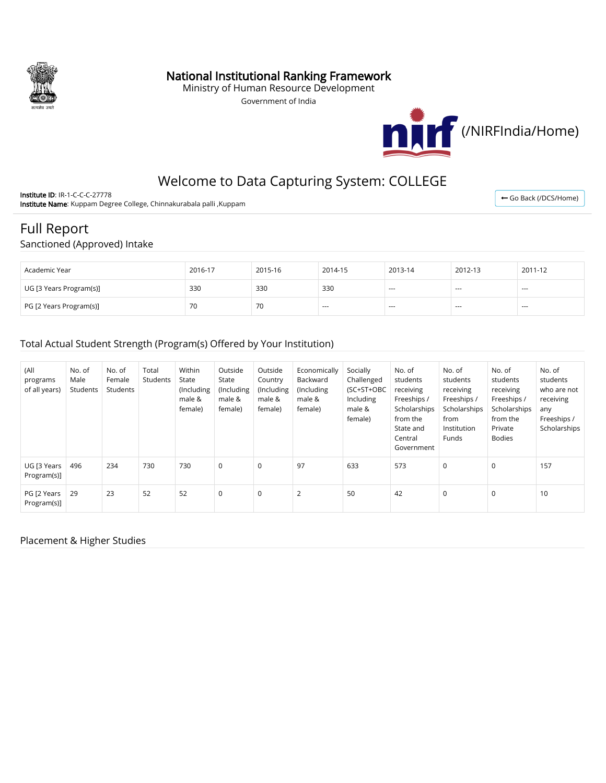

## National Institutional Ranking Framework

Ministry of Human Resource Development

Government of India



# Welcome to Data Capturing System: COLLEGE

Institute ID: IR-1-C-C-C-27778 Institute Name: Kuppam Degree College, Chinnakurabala palli ,Kuppam

← [Go Back \(/DCS/Home\)](http://nirfweb.cloudapp.net/DCS/Home)

# Full Report

#### Sanctioned (Approved) Intake

| Academic Year           | 2016-17 | 2015-16 | 2014-15 | 2013-14 | 2012-13 | 2011-12 |
|-------------------------|---------|---------|---------|---------|---------|---------|
| UG [3 Years Program(s)] | 330     | 330     | 330     | $- - -$ | $- - -$ | ----    |
| PG [2 Years Program(s)] | 70      | 70      | $- - -$ | $- - -$ | $- - -$ | $- - -$ |

#### Total Actual Student Strength (Program(s) Offered by Your Institution)

| (All<br>programs<br>of all years) | No. of<br>Male<br>Students | No. of<br>Female<br>Students | Total<br>Students | Within<br>State<br>(Including<br>male &<br>female) | Outside<br>State<br>(Including<br>male &<br>female) | Outside<br>Country<br>(Including<br>male &<br>female) | Economically<br>Backward<br>(Including<br>male &<br>female) | Socially<br>Challenged<br>(SC+ST+OBC<br>Including<br>male &<br>female) | No. of<br>students<br>receiving<br>Freeships /<br>Scholarships<br>from the<br>State and<br>Central<br>Government | No. of<br>students<br>receiving<br>Freeships /<br>Scholarships<br>from<br>Institution<br>Funds | No. of<br>students<br>receiving<br>Freeships /<br>Scholarships<br>from the<br>Private<br><b>Bodies</b> | No. of<br>students<br>who are not<br>receiving<br>any<br>Freeships /<br>Scholarships |
|-----------------------------------|----------------------------|------------------------------|-------------------|----------------------------------------------------|-----------------------------------------------------|-------------------------------------------------------|-------------------------------------------------------------|------------------------------------------------------------------------|------------------------------------------------------------------------------------------------------------------|------------------------------------------------------------------------------------------------|--------------------------------------------------------------------------------------------------------|--------------------------------------------------------------------------------------|
| UG [3 Years<br>Program(s)]        | 496                        | 234                          | 730               | 730                                                | $\mathbf 0$                                         | 0                                                     | 97                                                          | 633                                                                    | 573                                                                                                              | $\mathbf 0$                                                                                    | 0                                                                                                      | 157                                                                                  |
| PG [2 Years<br>Program(s)]        | 29                         | 23                           | 52                | 52                                                 | $\mathbf 0$                                         | 0                                                     | $\overline{2}$                                              | 50                                                                     | 42                                                                                                               | $\mathbf 0$                                                                                    | 0                                                                                                      | 10                                                                                   |

#### Placement & Higher Studies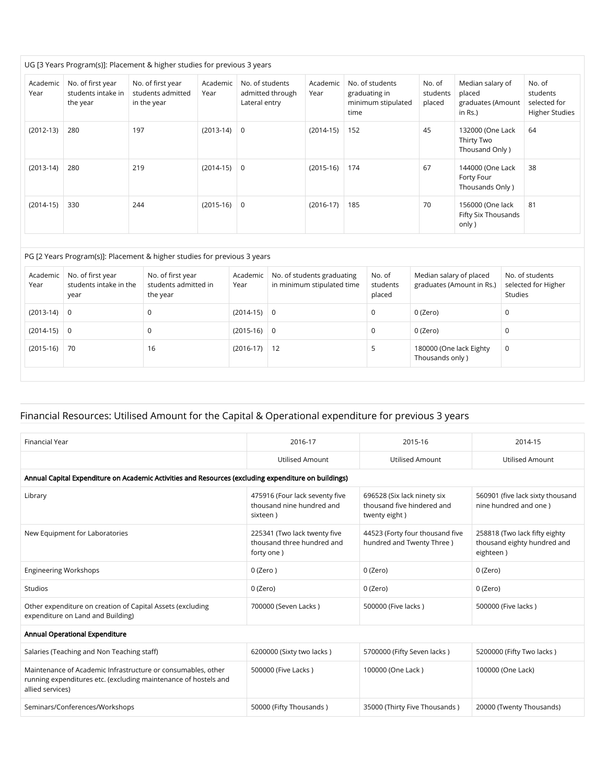| Academic<br>Year | No. of first year<br>students intake in<br>the year | No. of first year<br>students admitted<br>in the year | Academic<br>Year | No. of students<br>admitted through<br>Lateral entry | Academic<br>Year | No. of students<br>graduating in<br>minimum stipulated<br>time | No. of<br>students<br>placed | Median salary of<br>placed<br>graduates (Amount<br>in Rs.) | No. of<br>students<br>selected for<br><b>Higher Studies</b> |
|------------------|-----------------------------------------------------|-------------------------------------------------------|------------------|------------------------------------------------------|------------------|----------------------------------------------------------------|------------------------------|------------------------------------------------------------|-------------------------------------------------------------|
| $(2012-13)$      | 280                                                 | 197                                                   | $(2013-14)$      | $\mathbf 0$                                          | $(2014-15)$      | 152                                                            | 45                           | 132000 (One Lack<br>Thirty Two<br>Thousand Only)           | 64                                                          |
| $(2013-14)$      | 280                                                 | 219                                                   | $(2014-15)$      | $\mathbf 0$                                          | $(2015-16)$      | 174                                                            | 67                           | 144000 (One Lack<br>Forty Four<br>Thousands Only)          | 38                                                          |
| $(2014-15)$      | 330                                                 | 244                                                   | $(2015-16)$      | $\mathbf 0$                                          | $(2016-17)$      | 185                                                            | 70                           | 156000 (One lack<br>Fifty Six Thousands<br>only)           | 81                                                          |

#### PG [2 Years Program(s)]: Placement & higher studies for previous 3 years

| Academic<br>Year | No. of first year<br>students intake in the<br>year | No. of first year<br>students admitted in<br>the year | Academic<br>Year | No. of students graduating<br>in minimum stipulated time | No. of<br>students<br>placed | Median salary of placed<br>graduates (Amount in Rs.) | No. of students<br>selected for Higher<br>Studies |
|------------------|-----------------------------------------------------|-------------------------------------------------------|------------------|----------------------------------------------------------|------------------------------|------------------------------------------------------|---------------------------------------------------|
| $(2013-14)$ 0    |                                                     |                                                       | $(2014-15)$      | $\overline{0}$                                           | 0                            | 0 (Zero)                                             | 0                                                 |
| $(2014-15)$ 0    |                                                     |                                                       | $(2015-16)$      | $\overline{0}$                                           |                              | 0 (Zero)                                             | 0                                                 |
| $(2015-16)$      | 70                                                  | 16                                                    | $(2016-17)$      | $\vert$ 12                                               |                              | 180000 (One lack Eighty<br>Thousands only )          | 0                                                 |

## Financial Resources: Utilised Amount for the Capital & Operational expenditure for previous 3 years

| <b>Financial Year</b>                                                                                                                               | 2016-17                                                                  | 2015-16                                                                    | 2014-15                                                                   |  |  |  |  |  |  |  |  |
|-----------------------------------------------------------------------------------------------------------------------------------------------------|--------------------------------------------------------------------------|----------------------------------------------------------------------------|---------------------------------------------------------------------------|--|--|--|--|--|--|--|--|
|                                                                                                                                                     | <b>Utilised Amount</b>                                                   | <b>Utilised Amount</b>                                                     | Utilised Amount                                                           |  |  |  |  |  |  |  |  |
| Annual Capital Expenditure on Academic Activities and Resources (excluding expenditure on buildings)                                                |                                                                          |                                                                            |                                                                           |  |  |  |  |  |  |  |  |
| Library                                                                                                                                             | 475916 (Four lack seventy five<br>thousand nine hundred and<br>sixteen)  | 696528 (Six lack ninety six<br>thousand five hindered and<br>twenty eight) | 560901 (five lack sixty thousand<br>nine hundred and one)                 |  |  |  |  |  |  |  |  |
| New Equipment for Laboratories                                                                                                                      | 225341 (Two lack twenty five<br>thousand three hundred and<br>forty one) | 44523 (Forty four thousand five<br>hundred and Twenty Three)               | 258818 (Two lack fifty eighty<br>thousand eighty hundred and<br>eighteen) |  |  |  |  |  |  |  |  |
| <b>Engineering Workshops</b>                                                                                                                        | $0$ (Zero)                                                               | 0 (Zero)                                                                   | 0 (Zero)                                                                  |  |  |  |  |  |  |  |  |
| Studios                                                                                                                                             | 0 (Zero)                                                                 | 0 (Zero)                                                                   | 0 (Zero)                                                                  |  |  |  |  |  |  |  |  |
| Other expenditure on creation of Capital Assets (excluding<br>expenditure on Land and Building)                                                     | 700000 (Seven Lacks)                                                     | 500000 (Five lacks)                                                        | 500000 (Five lacks)                                                       |  |  |  |  |  |  |  |  |
| Annual Operational Expenditure                                                                                                                      |                                                                          |                                                                            |                                                                           |  |  |  |  |  |  |  |  |
| Salaries (Teaching and Non Teaching staff)                                                                                                          | 6200000 (Sixty two lacks)                                                | 5700000 (Fifty Seven lacks)                                                | 5200000 (Fifty Two lacks)                                                 |  |  |  |  |  |  |  |  |
| Maintenance of Academic Infrastructure or consumables, other<br>running expenditures etc. (excluding maintenance of hostels and<br>allied services) | 500000 (Five Lacks)                                                      | 100000 (One Lack)                                                          | 100000 (One Lack)                                                         |  |  |  |  |  |  |  |  |
| Seminars/Conferences/Workshops                                                                                                                      | 50000 (Fifty Thousands)                                                  | 35000 (Thirty Five Thousands)                                              | 20000 (Twenty Thousands)                                                  |  |  |  |  |  |  |  |  |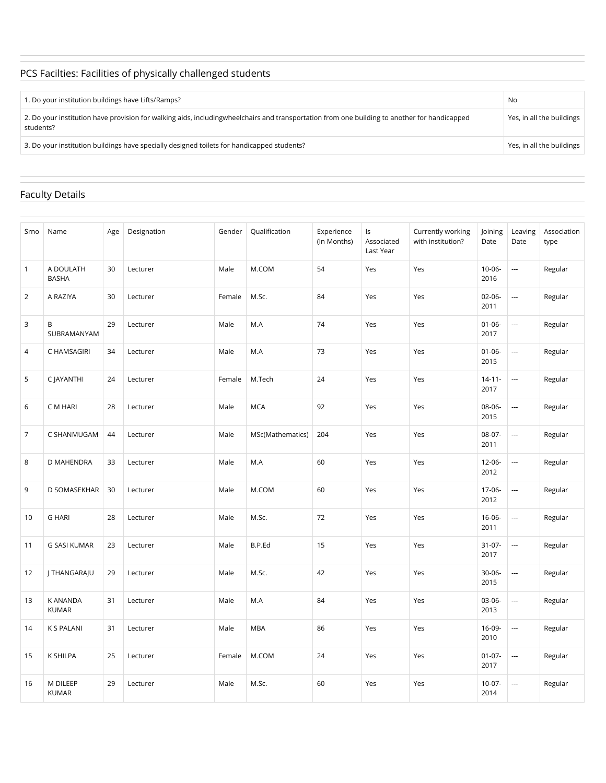# PCS Facilties: Facilities of physically challenged students

| 1. Do your institution buildings have Lifts/Ramps?                                                                                                          | No                        |
|-------------------------------------------------------------------------------------------------------------------------------------------------------------|---------------------------|
| 2. Do your institution have provision for walking aids, including wheel chairs and transportation from one building to another for handicapped<br>students? | Yes, in all the buildings |
| 3. Do your institution buildings have specially designed toilets for handicapped students?                                                                  | Yes, in all the buildings |

### Faculty Details

| Srno           | Name                      | Age | Designation | Gender | Qualification    | Experience<br>(In Months) | Is<br>Associated<br>Last Year | Currently working<br>with institution? | Joining<br>Date     | Leaving<br>Date | Association<br>type |
|----------------|---------------------------|-----|-------------|--------|------------------|---------------------------|-------------------------------|----------------------------------------|---------------------|-----------------|---------------------|
| $\mathbf{1}$   | A DOULATH<br><b>BASHA</b> | 30  | Lecturer    | Male   | M.COM            | 54                        | Yes                           | Yes                                    | $10 - 06 -$<br>2016 |                 | Regular             |
| 2              | A RAZIYA                  | 30  | Lecturer    | Female | M.Sc.            | 84                        | Yes                           | Yes                                    | $02 - 06 -$<br>2011 | ---             | Regular             |
| 3              | В<br>SUBRAMANYAM          | 29  | Lecturer    | Male   | M.A              | 74                        | Yes                           | Yes                                    | $01 - 06 -$<br>2017 |                 | Regular             |
| 4              | C HAMSAGIRI               | 34  | Lecturer    | Male   | M.A              | 73                        | Yes                           | Yes                                    | $01 - 06 -$<br>2015 |                 | Regular             |
| 5              | C JAYANTHI                | 24  | Lecturer    | Female | M.Tech           | 24                        | Yes                           | Yes                                    | $14 - 11 -$<br>2017 |                 | Regular             |
| 6              | C M HARI                  | 28  | Lecturer    | Male   | <b>MCA</b>       | 92                        | Yes                           | Yes                                    | 08-06-<br>2015      |                 | Regular             |
| $\overline{7}$ | C SHANMUGAM               | 44  | Lecturer    | Male   | MSc(Mathematics) | 204                       | Yes                           | Yes                                    | 08-07-<br>2011      |                 | Regular             |
| 8              | D MAHENDRA                | 33  | Lecturer    | Male   | M.A              | 60                        | Yes                           | Yes                                    | $12 - 06 -$<br>2012 |                 | Regular             |
| 9              | D SOMASEKHAR              | 30  | Lecturer    | Male   | M.COM            | 60                        | Yes                           | Yes                                    | 17-06-<br>2012      |                 | Regular             |
| 10             | <b>G HARI</b>             | 28  | Lecturer    | Male   | M.Sc.            | 72                        | Yes                           | Yes                                    | $16 - 06 -$<br>2011 | ---             | Regular             |
| 11             | <b>G SASI KUMAR</b>       | 23  | Lecturer    | Male   | B.P.Ed           | 15                        | Yes                           | Yes                                    | $31-07-$<br>2017    |                 | Regular             |
| 12             | J THANGARAJU              | 29  | Lecturer    | Male   | M.Sc.            | 42                        | Yes                           | Yes                                    | 30-06-<br>2015      | ---             | Regular             |
| 13             | K ANANDA<br><b>KUMAR</b>  | 31  | Lecturer    | Male   | M.A              | 84                        | Yes                           | Yes                                    | 03-06-<br>2013      |                 | Regular             |
| 14             | <b>K S PALANI</b>         | 31  | Lecturer    | Male   | <b>MBA</b>       | 86                        | Yes                           | Yes                                    | 16-09-<br>2010      |                 | Regular             |
| 15             | K SHILPA                  | 25  | Lecturer    | Female | M.COM            | 24                        | Yes                           | Yes                                    | $01 - 07 -$<br>2017 |                 | Regular             |
| 16             | M DILEEP<br><b>KUMAR</b>  | 29  | Lecturer    | Male   | M.Sc.            | 60                        | Yes                           | Yes                                    | $10-07-$<br>2014    |                 | Regular             |